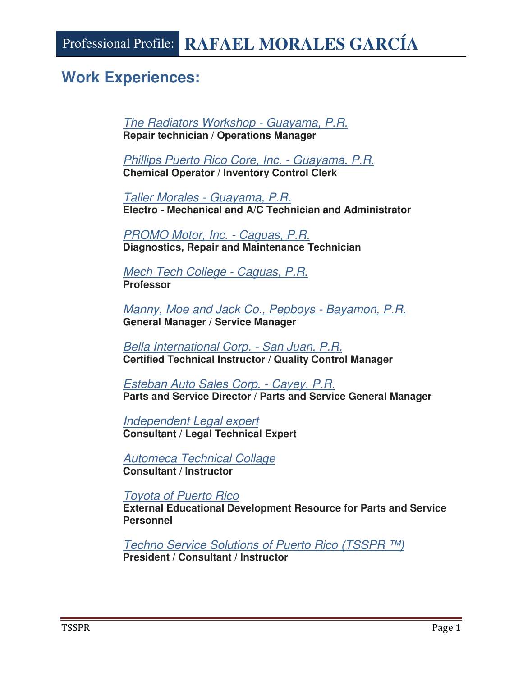# **Work Experiences:**

The Radiators Workshop - Guayama, P.R. **Repair technician / Operations Manager** 

Phillips Puerto Rico Core, Inc. - Guayama, P.R. **Chemical Operator / Inventory Control Clerk** 

Taller Morales - Guayama, P.R. **Electro - Mechanical and A/C Technician and Administrator** 

PROMO Motor, Inc. - Caguas, P.R. **Diagnostics, Repair and Maintenance Technician** 

Mech Tech College - Caguas, P.R. **Professor** 

Manny, Moe and Jack Co., Pepboys - Bayamon, P.R. **General Manager / Service Manager** 

Bella International Corp. - San Juan, P.R. **Certified Technical Instructor / Quality Control Manager** 

Esteban Auto Sales Corp. - Cayey, P.R. **Parts and Service Director / Parts and Service General Manager** 

Independent Legal expert **Consultant / Legal Technical Expert** 

Automeca Technical Collage **Consultant / Instructor** 

Toyota of Puerto Rico

**External Educational Development Resource for Parts and Service Personnel** 

Techno Service Solutions of Puerto Rico (TSSPR ™) **President / Consultant / Instructor**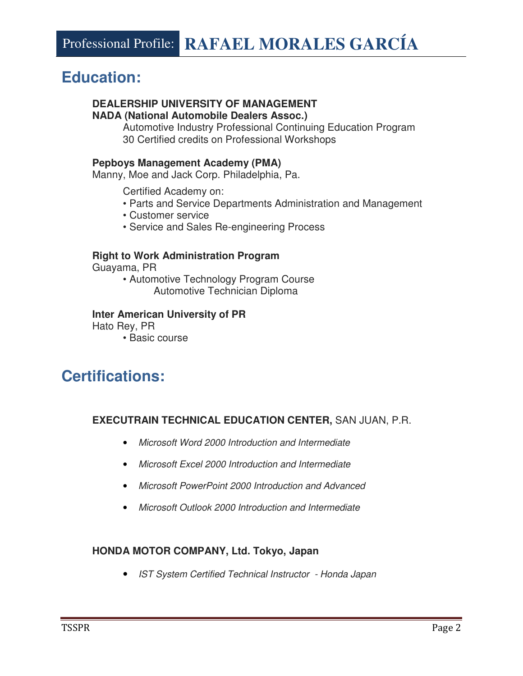# **Education:**

### **DEALERSHIP UNIVERSITY OF MANAGEMENT NADA (National Automobile Dealers Assoc.)**

Automotive Industry Professional Continuing Education Program 30 Certified credits on Professional Workshops

## **Pepboys Management Academy (PMA)**

Manny, Moe and Jack Corp. Philadelphia, Pa.

Certified Academy on:

- Parts and Service Departments Administration and Management
- Customer service
- Service and Sales Re-engineering Process

## **Right to Work Administration Program**

Guayama, PR

• Automotive Technology Program Course Automotive Technician Diploma

## **Inter American University of PR**

Hato Rey, PR

• Basic course

# **Certifications:**

# **EXECUTRAIN TECHNICAL EDUCATION CENTER,** SAN JUAN, P.R.

- Microsoft Word 2000 Introduction and Intermediate
- Microsoft Excel 2000 Introduction and Intermediate
- Microsoft PowerPoint 2000 Introduction and Advanced
- Microsoft Outlook 2000 Introduction and Intermediate

# **HONDA MOTOR COMPANY, Ltd. Tokyo, Japan**

• IST System Certified Technical Instructor - Honda Japan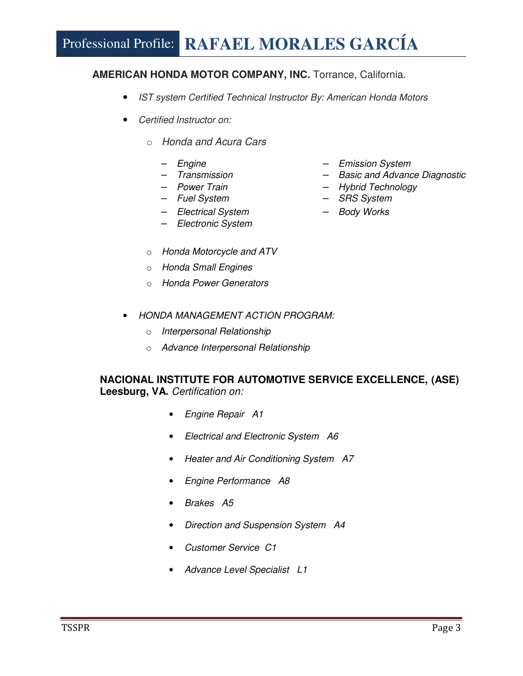# Professional Profile: **RAFAEL MORALES GARCÍA**

# **AMERICAN HONDA MOTOR COMPANY, INC.** Torrance, California.

- IST system Certified Technical Instructor By: American Honda Motors
- Certified Instructor on:
	- o Honda and Acura Cars
		-
		-
		-
		-
		- Electrical System Body Works
		- Electronic System
	- o Honda Motorcycle and ATV
	- o Honda Small Engines
	- o Honda Power Generators
- Engine Emission System
- Transmission Basic and Advance Diagnostic
- Power Train Hybrid Technology
- Fuel System SRS System
	-

- HONDA MANAGEMENT ACTION PROGRAM:
	- o Interpersonal Relationship
	- o Advance Interpersonal Relationship

# **NACIONAL INSTITUTE FOR AUTOMOTIVE SERVICE EXCELLENCE, (ASE)**  Leesburg, VA. Certification on:

- Engine Repair A1
- Electrical and Electronic System A6
- Heater and Air Conditioning System A7
- Engine Performance A8
- Brakes A5
- Direction and Suspension System A4
- Customer Service C1
- Advance Level Specialist L1